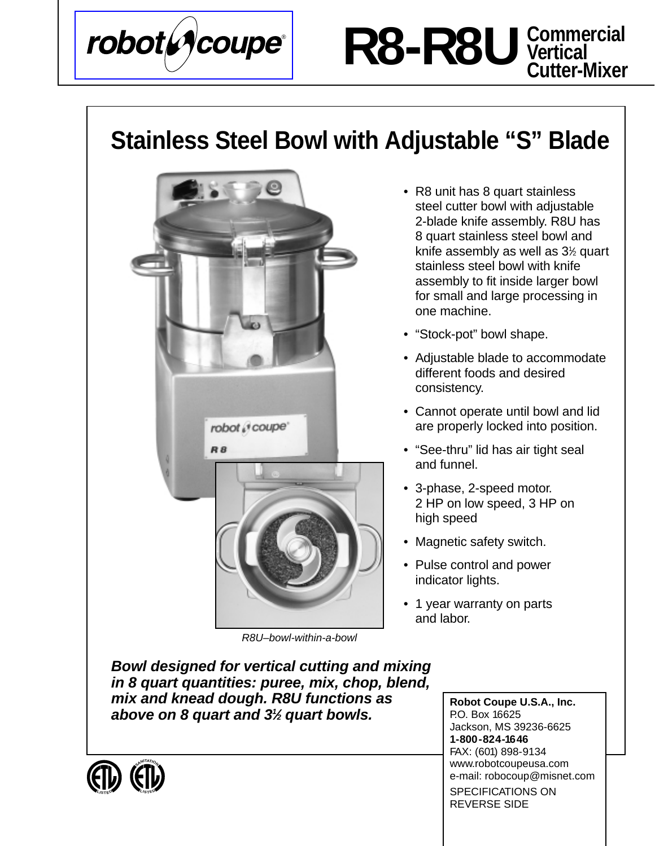

## **Stainless Steel Bowl with Adjustable "S" Blade**



R8U–bowl-within-a-bowl

• R8 unit has 8 quart stainless steel cutter bowl with adjustable 2-blade knife assembly. R8U has 8 quart stainless steel bowl and knife assembly as well as 3<sup>1/2</sup> quart stainless steel bowl with knife assembly to fit inside larger bowl for small and large processing in one machine.

- "Stock-pot" bowl shape.
- Adjustable blade to accommodate different foods and desired consistency.
- Cannot operate until bowl and lid are properly locked into position.
- "See-thru" lid has air tight seal and funnel.
- 3-phase, 2-speed motor. 2 HP on low speed, 3 HP on high speed
- Magnetic safety switch.
- Pulse control and power indicator lights.
- 1 year warranty on parts and labor.

**Bowl designed for vertical cutting and mixing in 8 quart quantities: puree, mix, chop, blend, mix and knead dough. R8U functions as <br>Robot Coupe U.S.A., Inc. above on 8 quart and**  $3\frac{1}{2}$  **quart bowls.**  $\vert$  **P.O. Box 16625** 



Jackson, MS 39236-6625 **1-800-824-1646**  FAX: (601) 898-9134 www.robotcoupeusa.com e-mail: robocoup@misnet.com SPECIFICATIONS ON REVERSE SIDE